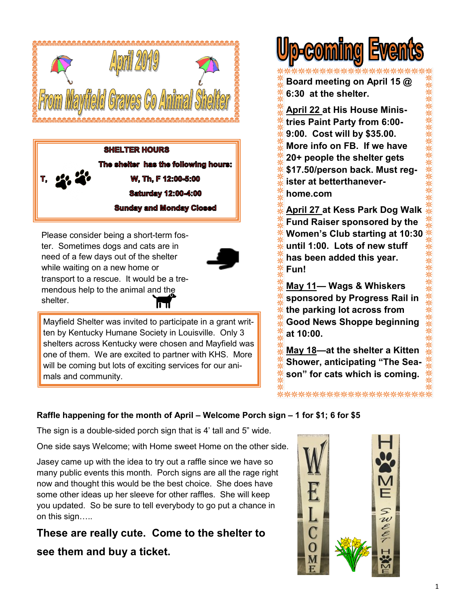

**SHELTER HOURS** The shelter has the following hours: **W. Th. F 12:00-5:00 Saturday 12:00-4:00 Sunday and Monday Closed** 

Please consider being a short-term foster. Sometimes dogs and cats are in need of a few days out of the shelter while waiting on a new home or transport to a rescue. It would be a tremendous help to the animal and the shelter.



Mayfield Shelter was invited to participate in a grant written by Kentucky Humane Society in Louisville. Only 3 shelters across Kentucky were chosen and Mayfield was one of them. We are excited to partner with KHS. More will be coming but lots of exciting services for our animals and community.



**Board meeting on April 15 @ 6:30 at the shelter.**

**April 22 at His House Ministries Paint Party from 6:00- 9:00. Cost will by \$35.00. More info on FB. If we have 20+ people the shelter gets \$17.50/person back. Must register at betterthaneverhome.com** 

**April 27 at Kess Park Dog Walk Fund Raiser sponsored by the Women's Club starting at 10:30 until 1:00. Lots of new stuff has been added this year. Fun!**

**May 11— Wags & Whiskers sponsored by Progress Rail in the parking lot across from Good News Shoppe beginning at 10:00.**

**May 18—at the shelter a Kitten Shower, anticipating "The Season" for cats which is coming.** 

\*\*\*\*\*\*\*\*\*\*\*\*\*\*\*\*\*\*\*\*\*\*\*

#### **Raffle happening for the month of April – Welcome Porch sign – 1 for \$1; 6 for \$5**

The sign is a double-sided porch sign that is 4' tall and 5" wide.

One side says Welcome; with Home sweet Home on the other side.

Jasey came up with the idea to try out a raffle since we have so many public events this month. Porch signs are all the rage right now and thought this would be the best choice. She does have some other ideas up her sleeve for other raffles. She will keep you updated. So be sure to tell everybody to go put a chance in on this sign…..

**These are really cute. Come to the shelter to see them and buy a ticket.**

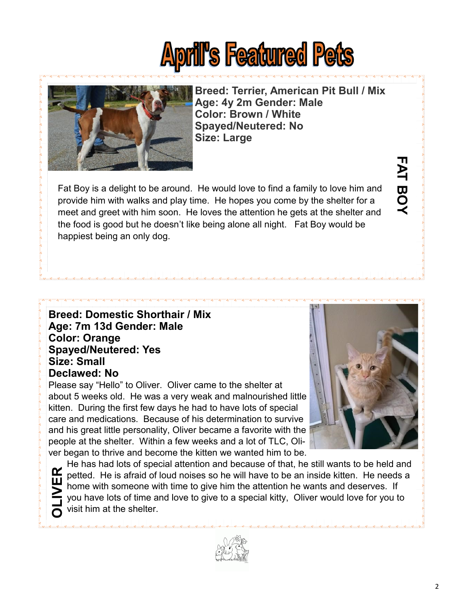# **April's Featured Pets**



**Breed: Terrier, American Pit Bull / Mix Age: 4y 2m Gender: Male Color: Brown / White Spayed/Neutered: No Size: Large**

Fat Boy is a delight to be around. He would love to find a family to love him and provide him with walks and play time. He hopes you come by the shelter for a meet and greet with him soon. He loves the attention he gets at the shelter and the food is good but he doesn't like being alone all night. Fat Boy would be happiest being an only dog.

#### **Breed: Domestic Shorthair / Mix Age: 7m 13d Gender: Male Color: Orange Spayed/Neutered: Yes Size: Small Declawed: No**

Please say "Hello" to Oliver. Oliver came to the shelter at about 5 weeks old. He was a very weak and malnourished little kitten. During the first few days he had to have lots of special care and medications. Because of his determination to survive and his great little personality, Oliver became a favorite with the people at the shelter. Within a few weeks and a lot of TLC, Oliver began to thrive and become the kitten we wanted him to be.



**FAT BOY**

**FAT BOY** 

He has had lots of special attention and because of that, he still wants to be held and petted. He is afraid of loud noises so he will have to be an inside kitten. He needs a home with someone with time to give him the attention he wants and deserves. If you have lots of time and love to give to a special kitty, Oliver would love for you to visit him at the shelter. **OLIVER**

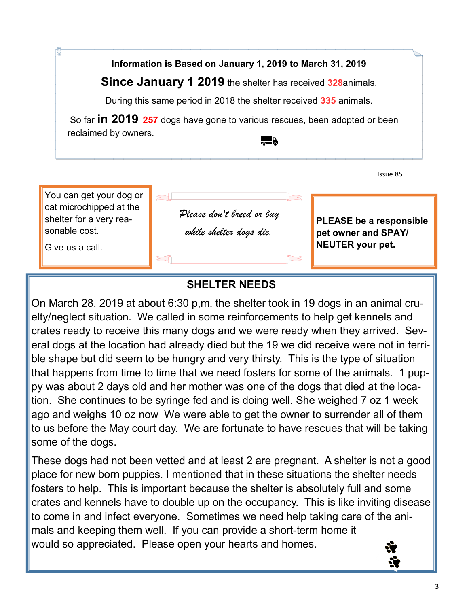**Information is Based on January 1, 2019 to March 31, 2019**

**Since January 1 2019** the shelter has received **328**animals.

During this same period in 2018 the shelter received **335** animals.

So far **in 2019 257** dogs have gone to various rescues, been adopted or been reclaimed by owners.  $\overline{\phantom{a}}$  .

Issue 85



# **SHELTER NEEDS**

On March 28, 2019 at about 6:30 p,m. the shelter took in 19 dogs in an animal cruelty/neglect situation. We called in some reinforcements to help get kennels and crates ready to receive this many dogs and we were ready when they arrived. Several dogs at the location had already died but the 19 we did receive were not in terrible shape but did seem to be hungry and very thirsty. This is the type of situation that happens from time to time that we need fosters for some of the animals. 1 puppy was about 2 days old and her mother was one of the dogs that died at the location. She continues to be syringe fed and is doing well. She weighed 7 oz 1 week ago and weighs 10 oz now We were able to get the owner to surrender all of them to us before the May court day. We are fortunate to have rescues that will be taking some of the dogs.

These dogs had not been vetted and at least 2 are pregnant. A shelter is not a good place for new born puppies. I mentioned that in these situations the shelter needs fosters to help. This is important because the shelter is absolutely full and some crates and kennels have to double up on the occupancy. This is like inviting disease to come in and infect everyone. Sometimes we need help taking care of the animals and keeping them well. If you can provide a short-term home it would so appreciated. Please open your hearts and homes.

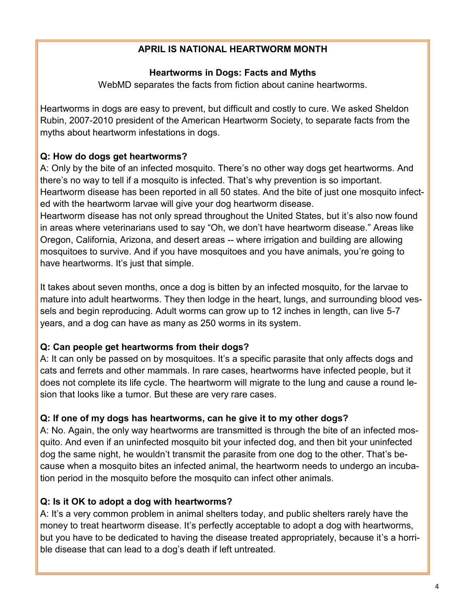#### **APRIL IS NATIONAL HEARTWORM MONTH**

#### **Heartworms in Dogs: Facts and Myths**

WebMD separates the facts from fiction about canine heartworms.

Heartworms in dogs are easy to prevent, but difficult and costly to cure. We asked Sheldon Rubin, 2007-2010 president of the American Heartworm Society, to separate facts from the myths about heartworm infestations in dogs.

## **Q: How do dogs get heartworms?**

A: Only by the bite of an infected mosquito. There's no other way dogs get heartworms. And there's no way to tell if a mosquito is infected. That's why prevention is so important. Heartworm disease has been reported in all 50 states. And the bite of just one mosquito infected with the heartworm larvae will give your dog heartworm disease.

Heartworm disease has not only spread throughout the United States, but it's also now found in areas where veterinarians used to say "Oh, we don't have heartworm disease." Areas like Oregon, California, Arizona, and desert areas -- where irrigation and building are allowing mosquitoes to survive. And if you have mosquitoes and you have animals, you're going to have heartworms. It's just that simple.

It takes about seven months, once a dog is bitten by an infected mosquito, for the larvae to mature into adult heartworms. They then lodge in the heart, lungs, and surrounding blood vessels and begin reproducing. Adult worms can grow up to 12 inches in length, can live 5-7 years, and a dog can have as many as 250 worms in its system.

#### **Q: Can people get heartworms from their dogs?**

A: It can only be passed on by mosquitoes. It's a specific parasite that only affects dogs and cats and ferrets and other mammals. In rare cases, heartworms have infected people, but it does not complete its life cycle. The heartworm will migrate to the lung and cause a round lesion that looks like a tumor. But these are very rare cases.

#### **Q: If one of my dogs has heartworms, can he give it to my other dogs?**

A: No. Again, the only way heartworms are transmitted is through the bite of an infected mosquito. And even if an uninfected mosquito bit your infected dog, and then bit your uninfected dog the same night, he wouldn't transmit the parasite from one dog to the other. That's because when a mosquito bites an infected animal, the heartworm needs to undergo an incubation period in the mosquito before the mosquito can infect other animals.

# **Q: Is it OK to adopt a dog with heartworms?**

A: It's a very common problem in animal shelters today, and public shelters rarely have the money to treat heartworm disease. It's perfectly acceptable to adopt a dog with heartworms, but you have to be dedicated to having the disease treated appropriately, because it's a horrible disease that can lead to a dog's death if left untreated.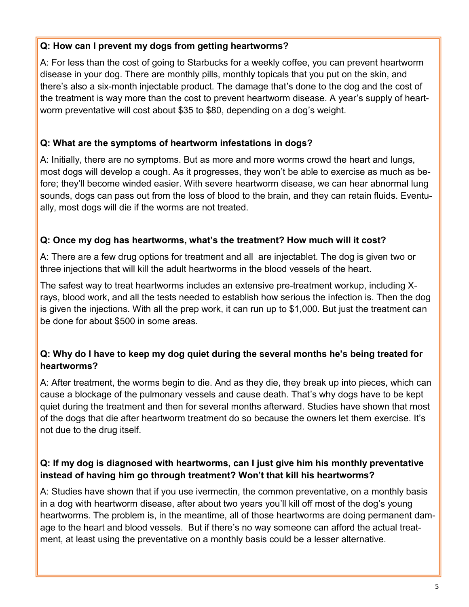#### **Q: How can I prevent my dogs from getting heartworms?**

A: For less than the cost of going to Starbucks for a weekly coffee, you can prevent heartworm disease in your dog. There are monthly pills, monthly topicals that you put on the skin, and there's also a six-month injectable product. The damage that's done to the dog and the cost of the treatment is way more than the cost to prevent heartworm disease. A year's supply of heartworm preventative will cost about \$35 to \$80, depending on a dog's weight.

### **Q: What are the symptoms of heartworm infestations in dogs?**

A: Initially, there are no symptoms. But as more and more worms crowd the heart and lungs, most dogs will develop a cough. As it progresses, they won't be able to exercise as much as before; they'll become winded easier. With severe heartworm disease, we can hear abnormal lung sounds, dogs can pass out from the loss of blood to the brain, and they can retain fluids. Eventually, most dogs will die if the worms are not treated.

#### **Q: Once my dog has heartworms, what's the treatment? How much will it cost?**

A: There are a few drug options for treatment and all are injectablet. The dog is given two or three injections that will kill the adult heartworms in the blood vessels of the heart.

The safest way to treat heartworms includes an extensive pre-treatment workup, including Xrays, blood work, and all the tests needed to establish how serious the infection is. Then the dog is given the injections. With all the prep work, it can run up to \$1,000. But just the treatment can be done for about \$500 in some areas.

#### **Q: Why do I have to keep my dog quiet during the several months he's being treated for heartworms?**

A: After treatment, the worms begin to die. And as they die, they break up into pieces, which can cause a blockage of the pulmonary vessels and cause death. That's why dogs have to be kept quiet during the treatment and then for several months afterward. Studies have shown that most of the dogs that die after heartworm treatment do so because the owners let them exercise. It's not due to the drug itself.

#### **Q: If my dog is diagnosed with heartworms, can I just give him his monthly preventative instead of having him go through treatment? Won't that kill his heartworms?**

A: Studies have shown that if you use ivermectin, the common preventative, on a monthly basis in a dog with heartworm disease, after about two years you'll kill off most of the dog's young heartworms. The problem is, in the meantime, all of those heartworms are doing permanent damage to the heart and blood vessels. But if there's no way someone can afford the actual treatment, at least using the preventative on a monthly basis could be a lesser alternative.